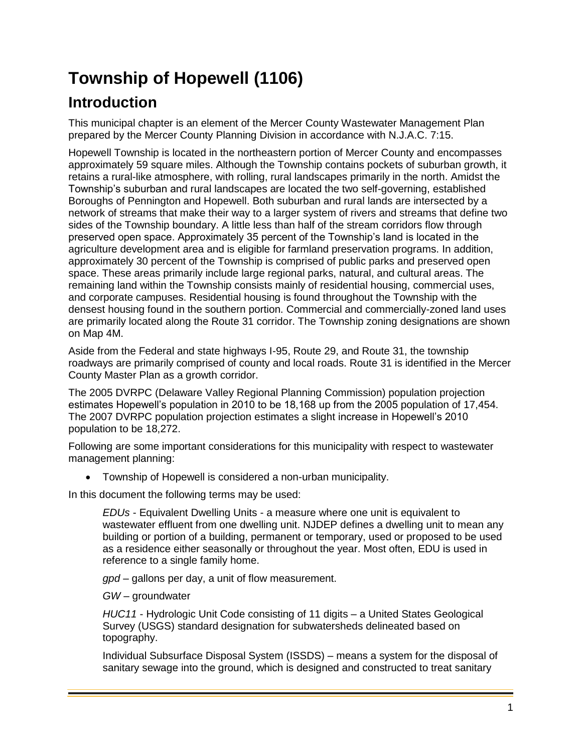# **Township of Hopewell (1106)**

## **Introduction**

This municipal chapter is an element of the Mercer County Wastewater Management Plan prepared by the Mercer County Planning Division in accordance with N.J.A.C. 7:15.

Hopewell Township is located in the northeastern portion of Mercer County and encompasses approximately 59 square miles. Although the Township contains pockets of suburban growth, it retains a rural-like atmosphere, with rolling, rural landscapes primarily in the north. Amidst the Township's suburban and rural landscapes are located the two self-governing, established Boroughs of Pennington and Hopewell. Both suburban and rural lands are intersected by a network of streams that make their way to a larger system of rivers and streams that define two sides of the Township boundary. A little less than half of the stream corridors flow through preserved open space. Approximately 35 percent of the Township's land is located in the agriculture development area and is eligible for farmland preservation programs. In addition, approximately 30 percent of the Township is comprised of public parks and preserved open space. These areas primarily include large regional parks, natural, and cultural areas. The remaining land within the Township consists mainly of residential housing, commercial uses, and corporate campuses. Residential housing is found throughout the Township with the densest housing found in the southern portion. Commercial and commercially-zoned land uses are primarily located along the Route 31 corridor. The Township zoning designations are shown on Map 4M.

Aside from the Federal and state highways I-95, Route 29, and Route 31, the township roadways are primarily comprised of county and local roads. Route 31 is identified in the Mercer County Master Plan as a growth corridor.

The 2005 DVRPC (Delaware Valley Regional Planning Commission) population projection estimates Hopewell's population in 2010 to be 18,168 up from the 2005 population of 17,454. The 2007 DVRPC population projection estimates a slight increase in Hopewell's 2010 population to be 18,272.

Following are some important considerations for this municipality with respect to wastewater management planning:

Township of Hopewell is considered a non-urban municipality.

In this document the following terms may be used:

*EDUs* - Equivalent Dwelling Units - a measure where one unit is equivalent to wastewater effluent from one dwelling unit. NJDEP defines a dwelling unit to mean any building or portion of a building, permanent or temporary, used or proposed to be used as a residence either seasonally or throughout the year. Most often, EDU is used in reference to a single family home.

*gpd* – gallons per day, a unit of flow measurement.

*GW* – groundwater

*HUC11* - Hydrologic Unit Code consisting of 11 digits – a United States Geological Survey (USGS) standard designation for subwatersheds delineated based on topography.

Individual Subsurface Disposal System (ISSDS) – means a system for the disposal of sanitary sewage into the ground, which is designed and constructed to treat sanitary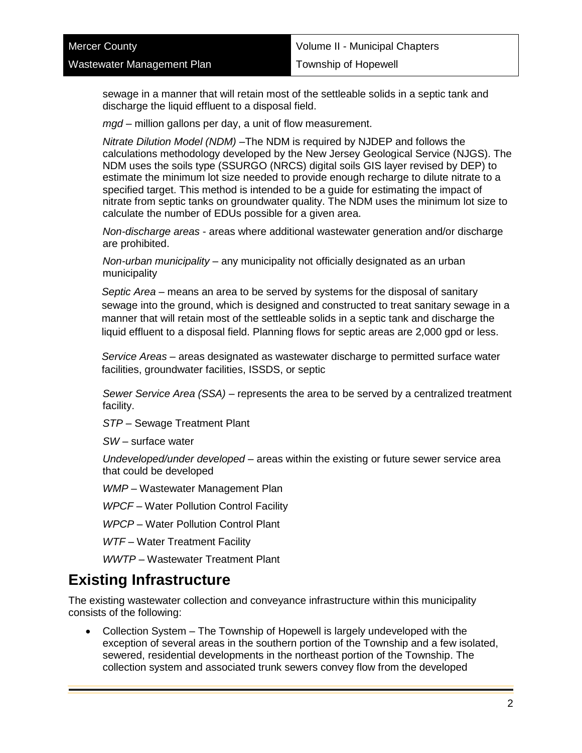sewage in a manner that will retain most of the settleable solids in a septic tank and discharge the liquid effluent to a disposal field.

*mgd* – million gallons per day, a unit of flow measurement.

*Nitrate Dilution Model (NDM)* –The NDM is required by NJDEP and follows the calculations methodology developed by the New Jersey Geological Service (NJGS). The NDM uses the soils type (SSURGO (NRCS) digital soils GIS layer revised by DEP) to estimate the minimum lot size needed to provide enough recharge to dilute nitrate to a specified target. This method is intended to be a guide for estimating the impact of nitrate from septic tanks on groundwater quality. The NDM uses the minimum lot size to calculate the number of EDUs possible for a given area.

*Non-discharge areas* - areas where additional wastewater generation and/or discharge are prohibited.

*Non-urban municipality* – any municipality not officially designated as an urban municipality

*Septic Area* – means an area to be served by systems for the disposal of sanitary sewage into the ground, which is designed and constructed to treat sanitary sewage in a manner that will retain most of the settleable solids in a septic tank and discharge the liquid effluent to a disposal field. Planning flows for septic areas are 2,000 gpd or less.

*Service Areas –* areas designated as wastewater discharge to permitted surface water facilities, groundwater facilities, ISSDS, or septic

*Sewer Service Area (SSA)* – represents the area to be served by a centralized treatment facility.

*STP* – Sewage Treatment Plant

*SW* – surface water

*Undeveloped/under developed* – areas within the existing or future sewer service area that could be developed

*WMP* – Wastewater Management Plan

*WPCF* – Water Pollution Control Facility

*WPCP* – Water Pollution Control Plant

*WTF* – Water Treatment Facility

*WWTP* – Wastewater Treatment Plant

### **Existing Infrastructure**

The existing wastewater collection and conveyance infrastructure within this municipality consists of the following:

 Collection System – The Township of Hopewell is largely undeveloped with the exception of several areas in the southern portion of the Township and a few isolated, sewered, residential developments in the northeast portion of the Township. The collection system and associated trunk sewers convey flow from the developed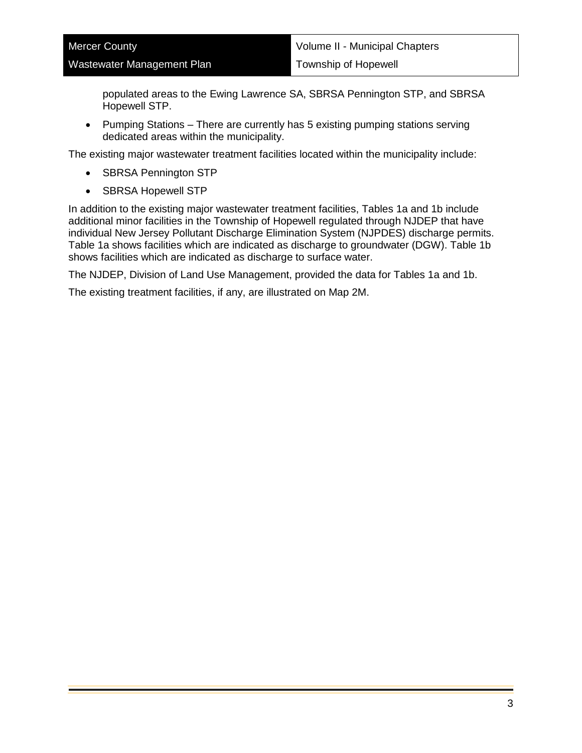populated areas to the Ewing Lawrence SA, SBRSA Pennington STP, and SBRSA Hopewell STP.

 Pumping Stations – There are currently has 5 existing pumping stations serving dedicated areas within the municipality.

The existing major wastewater treatment facilities located within the municipality include:

- SBRSA Pennington STP
- SBRSA Hopewell STP

In addition to the existing major wastewater treatment facilities, Tables 1a and 1b include additional minor facilities in the Township of Hopewell regulated through NJDEP that have individual New Jersey Pollutant Discharge Elimination System (NJPDES) discharge permits. Table 1a shows facilities which are indicated as discharge to groundwater (DGW). Table 1b shows facilities which are indicated as discharge to surface water.

The NJDEP, Division of Land Use Management, provided the data for Tables 1a and 1b.

The existing treatment facilities, if any, are illustrated on Map 2M.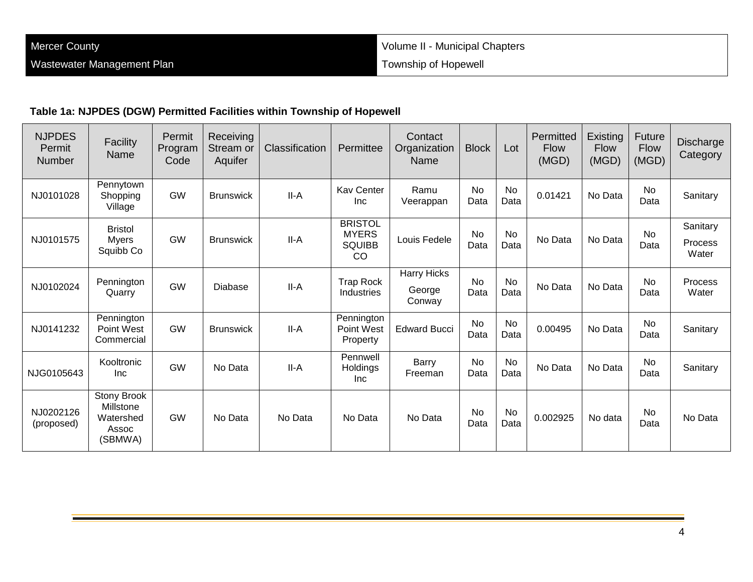#### **Table 1a: NJPDES (DGW) Permitted Facilities within Township of Hopewell**

| <b>NJPDES</b><br>Permit<br><b>Number</b> | Facility<br>Name                                          | Permit<br>Program<br>Code | Receiving<br>Stream or<br>Aquifer | Classification | Permittee                                                        | Contact<br>Organization<br>Name        | <b>Block</b>      | Lot               | Permitted<br><b>Flow</b><br>(MGD) | Existing<br><b>Flow</b><br>(MGD) | <b>Future</b><br><b>Flow</b><br>(MGD) | <b>Discharge</b><br>Category |
|------------------------------------------|-----------------------------------------------------------|---------------------------|-----------------------------------|----------------|------------------------------------------------------------------|----------------------------------------|-------------------|-------------------|-----------------------------------|----------------------------------|---------------------------------------|------------------------------|
| NJ0101028                                | Pennytown<br>Shopping<br>Village                          | <b>GW</b>                 | <b>Brunswick</b>                  | II-A           | <b>Kav Center</b><br><b>Inc</b>                                  | Ramu<br>Veerappan                      | <b>No</b><br>Data | <b>No</b><br>Data | 0.01421                           | No Data                          | <b>No</b><br>Data                     | Sanitary                     |
| NJ0101575                                | <b>Bristol</b><br><b>M</b> vers<br>Squibb Co              | <b>GW</b>                 | <b>Brunswick</b>                  | II-A           | <b>BRISTOL</b><br><b>MYERS</b><br><b>SQUIBB</b><br><sub>CO</sub> | Louis Fedele                           | <b>No</b><br>Data | <b>No</b><br>Data | No Data                           | No Data                          | <b>No</b><br>Data                     | Sanitary<br>Process<br>Water |
| NJ0102024                                | Pennington<br>Quarry                                      | <b>GW</b>                 | Diabase                           | II-A           | <b>Trap Rock</b><br>Industries                                   | <b>Harry Hicks</b><br>George<br>Conway | <b>No</b><br>Data | <b>No</b><br>Data | No Data                           | No Data                          | No<br>Data                            | Process<br>Water             |
| NJ0141232                                | Pennington<br>Point West<br>Commercial                    | <b>GW</b>                 | <b>Brunswick</b>                  | II-A           | Pennington<br>Point West<br>Property                             | <b>Edward Bucci</b>                    | No<br>Data        | No<br>Data        | 0.00495                           | No Data                          | No<br>Data                            | Sanitary                     |
| NJG0105643                               | Kooltronic<br>Inc                                         | GW                        | No Data                           | II-A           | Pennwell<br><b>Holdings</b><br><b>Inc</b>                        | Barry<br>Freeman                       | No<br>Data        | <b>No</b><br>Data | No Data                           | No Data                          | No<br>Data                            | Sanitary                     |
| NJ0202126<br>(proposed)                  | Stony Brook<br>Millstone<br>Watershed<br>Assoc<br>(SBMWA) | <b>GW</b>                 | No Data                           | No Data        | No Data                                                          | No Data                                | No<br>Data        | <b>No</b><br>Data | 0.002925                          | No data                          | No<br>Data                            | No Data                      |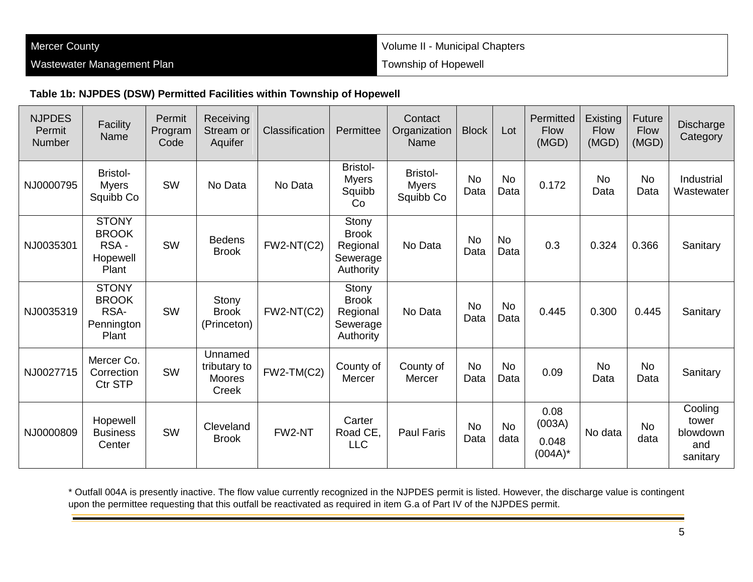Volume II - Municipal Chapters Township of Hopewell

#### **Table 1b: NJPDES (DSW) Permitted Facilities within Township of Hopewell**

| <b>NJPDES</b><br>Permit<br>Number | Facility<br>Name                                            | Permit<br>Program<br>Code | Receiving<br>Stream or<br>Aquifer          | Classification | Permittee                                                  | Contact<br>Organization<br>Name              | <b>Block</b>      | Lot               | Permitted<br><b>Flow</b><br>(MGD)     | Existing<br><b>Flow</b><br>(MGD) | Future<br><b>Flow</b><br>(MGD) | Discharge<br>Category                           |
|-----------------------------------|-------------------------------------------------------------|---------------------------|--------------------------------------------|----------------|------------------------------------------------------------|----------------------------------------------|-------------------|-------------------|---------------------------------------|----------------------------------|--------------------------------|-------------------------------------------------|
| NJ0000795                         | <b>Bristol-</b><br><b>M</b> vers<br>Squibb Co               | <b>SW</b>                 | No Data                                    | No Data        | <b>Bristol-</b><br><b>Myers</b><br>Squibb<br>Co            | <b>Bristol-</b><br><b>Myers</b><br>Squibb Co | <b>No</b><br>Data | <b>No</b><br>Data | 0.172                                 | <b>No</b><br>Data                | <b>No</b><br>Data              | Industrial<br>Wastewater                        |
| NJ0035301                         | <b>STONY</b><br><b>BROOK</b><br>RSA-<br>Hopewell<br>Plant   | <b>SW</b>                 | <b>Bedens</b><br><b>Brook</b>              | $FW2-NT(C2)$   | Stony<br><b>Brook</b><br>Regional<br>Sewerage<br>Authority | No Data                                      | <b>No</b><br>Data | <b>No</b><br>Data | 0.3                                   | 0.324                            | 0.366                          | Sanitary                                        |
| NJ0035319                         | <b>STONY</b><br><b>BROOK</b><br>RSA-<br>Pennington<br>Plant | <b>SW</b>                 | Stony<br><b>Brook</b><br>(Princeton)       | $FW2-NT(C2)$   | Stony<br><b>Brook</b><br>Regional<br>Sewerage<br>Authority | No Data                                      | <b>No</b><br>Data | <b>No</b><br>Data | 0.445                                 | 0.300                            | 0.445                          | Sanitary                                        |
| NJ0027715                         | Mercer Co.<br>Correction<br>Ctr STP                         | <b>SW</b>                 | Unnamed<br>tributary to<br>Moores<br>Creek | $FW2-TM(C2)$   | County of<br><b>Mercer</b>                                 | County of<br>Mercer                          | <b>No</b><br>Data | <b>No</b><br>Data | 0.09                                  | <b>No</b><br>Data                | <b>No</b><br>Data              | Sanitary                                        |
| NJ0000809                         | Hopewell<br><b>Business</b><br>Center                       | <b>SW</b>                 | Cleveland<br><b>Brook</b>                  | FW2-NT         | Carter<br>Road CE.<br><b>LLC</b>                           | <b>Paul Faris</b>                            | <b>No</b><br>Data | <b>No</b><br>data | 0.08<br>(003A)<br>0.048<br>$(004A)^*$ | No data                          | <b>No</b><br>data              | Cooling<br>tower<br>blowdown<br>and<br>sanitary |

\* Outfall 004A is presently inactive. The flow value currently recognized in the NJPDES permit is listed. However, the discharge value is contingent upon the permittee requesting that this outfall be reactivated as required in item G.a of Part IV of the NJPDES permit.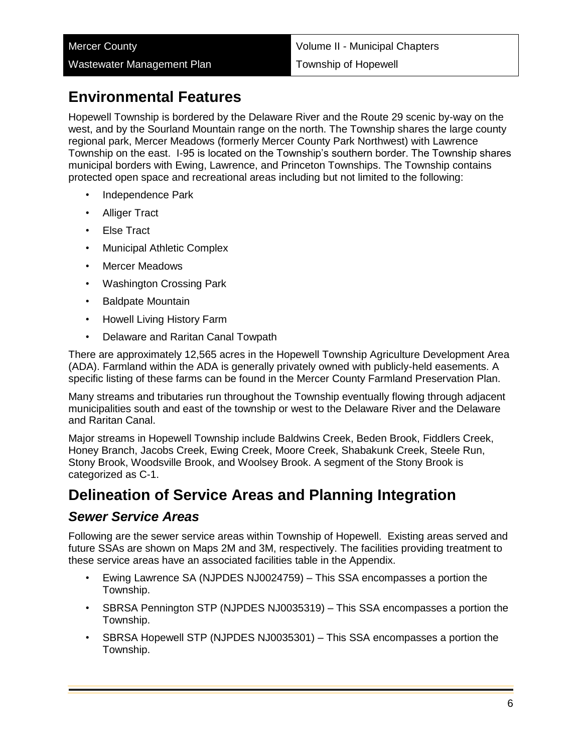## **Environmental Features**

Hopewell Township is bordered by the Delaware River and the Route 29 scenic by-way on the west, and by the Sourland Mountain range on the north. The Township shares the large county regional park, Mercer Meadows (formerly Mercer County Park Northwest) with Lawrence Township on the east. I-95 is located on the Township's southern border. The Township shares municipal borders with Ewing, Lawrence, and Princeton Townships. The Township contains protected open space and recreational areas including but not limited to the following:

- Independence Park
- Alliger Tract
- Else Tract
- Municipal Athletic Complex
- Mercer Meadows
- Washington Crossing Park
- Baldpate Mountain
- Howell Living History Farm
- Delaware and Raritan Canal Towpath

There are approximately 12,565 acres in the Hopewell Township Agriculture Development Area (ADA). Farmland within the ADA is generally privately owned with publicly-held easements. A specific listing of these farms can be found in the Mercer County Farmland Preservation Plan.

Many streams and tributaries run throughout the Township eventually flowing through adjacent municipalities south and east of the township or west to the Delaware River and the Delaware and Raritan Canal.

Major streams in Hopewell Township include Baldwins Creek, Beden Brook, Fiddlers Creek, Honey Branch, Jacobs Creek, Ewing Creek, Moore Creek, Shabakunk Creek, Steele Run, Stony Brook, Woodsville Brook, and Woolsey Brook. A segment of the Stony Brook is categorized as C-1.

### **Delineation of Service Areas and Planning Integration**

#### *Sewer Service Areas*

Following are the sewer service areas within Township of Hopewell. Existing areas served and future SSAs are shown on Maps 2M and 3M, respectively. The facilities providing treatment to these service areas have an associated facilities table in the Appendix.

- Ewing Lawrence SA (NJPDES NJ0024759) This SSA encompasses a portion the Township.
- SBRSA Pennington STP (NJPDES NJ0035319) This SSA encompasses a portion the Township.
- SBRSA Hopewell STP (NJPDES NJ0035301) This SSA encompasses a portion the Township.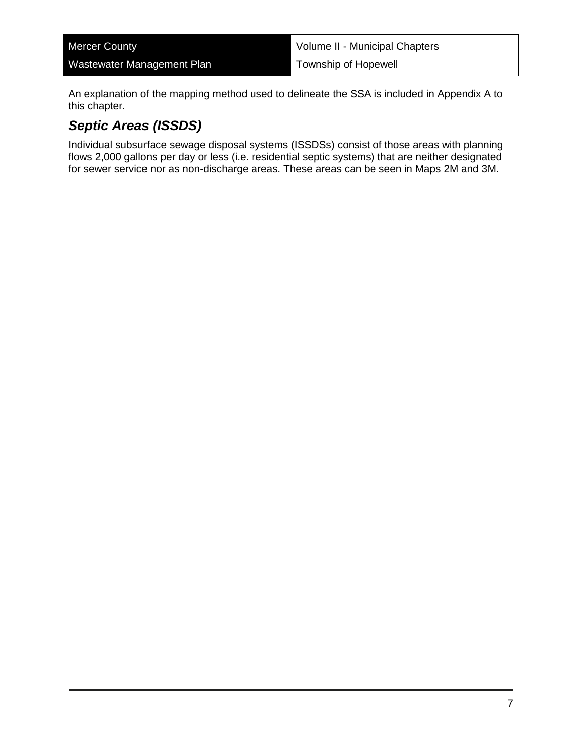| <b>Mercer County</b>       | Volume II - Municipal Chapters |
|----------------------------|--------------------------------|
| Wastewater Management Plan | Township of Hopewell           |

An explanation of the mapping method used to delineate the SSA is included in Appendix A to this chapter.

#### *Septic Areas (ISSDS)*

Individual subsurface sewage disposal systems (ISSDSs) consist of those areas with planning flows 2,000 gallons per day or less (i.e. residential septic systems) that are neither designated for sewer service nor as non-discharge areas. These areas can be seen in Maps 2M and 3M.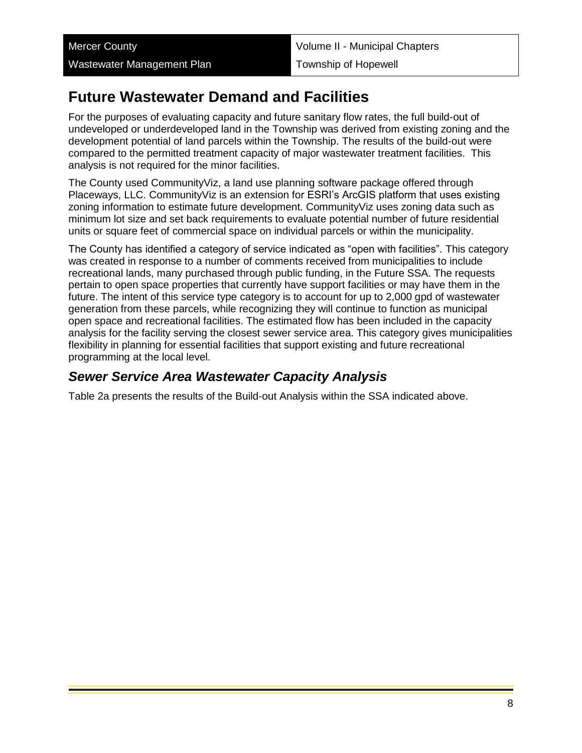## **Future Wastewater Demand and Facilities**

For the purposes of evaluating capacity and future sanitary flow rates, the full build-out of undeveloped or underdeveloped land in the Township was derived from existing zoning and the development potential of land parcels within the Township. The results of the build-out were compared to the permitted treatment capacity of major wastewater treatment facilities. This analysis is not required for the minor facilities.

The County used CommunityViz, a land use planning software package offered through Placeways, LLC. CommunityViz is an extension for ESRI's ArcGIS platform that uses existing zoning information to estimate future development. CommunityViz uses zoning data such as minimum lot size and set back requirements to evaluate potential number of future residential units or square feet of commercial space on individual parcels or within the municipality.

The County has identified a category of service indicated as "open with facilities". This category was created in response to a number of comments received from municipalities to include recreational lands, many purchased through public funding, in the Future SSA. The requests pertain to open space properties that currently have support facilities or may have them in the future. The intent of this service type category is to account for up to 2,000 gpd of wastewater generation from these parcels, while recognizing they will continue to function as municipal open space and recreational facilities. The estimated flow has been included in the capacity analysis for the facility serving the closest sewer service area. This category gives municipalities flexibility in planning for essential facilities that support existing and future recreational programming at the local level.

#### *Sewer Service Area Wastewater Capacity Analysis*

Table 2a presents the results of the Build-out Analysis within the SSA indicated above.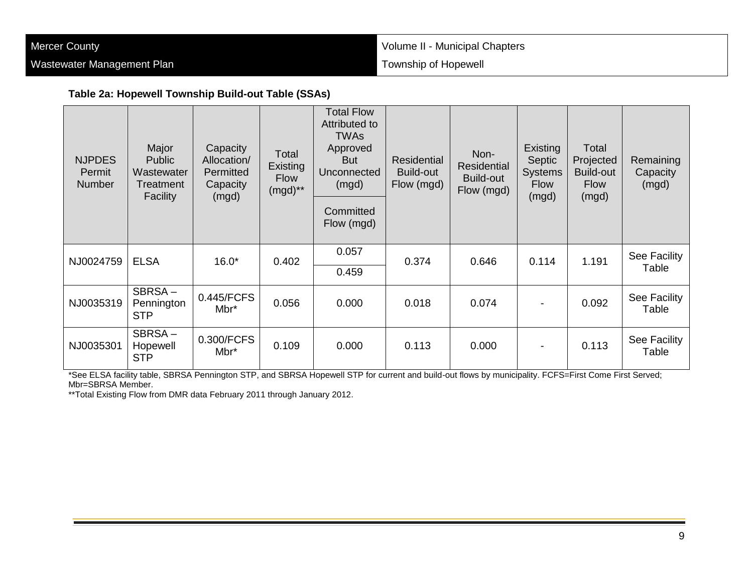| <b>Mercer County</b>       | Volume II - Municipal Chapters |
|----------------------------|--------------------------------|
| Wastewater Management Plan | Township of Hopewell           |

#### **Table 2a: Hopewell Township Build-out Table (SSAs)**

| <b>NJPDES</b><br>Permit<br><b>Number</b> | Major<br><b>Public</b><br>Wastewater<br>Treatment<br>Facility | Capacity<br>Allocation/<br>Permitted<br>Capacity<br>(mgd) | Total<br>Existing<br><b>Flow</b><br>$(mgd)$ ** | <b>Total Flow</b><br>Attributed to<br><b>TWAs</b><br>Approved<br><b>But</b><br>Unconnected<br>(mgd)<br>Committed<br>Flow (mgd) | <b>Residential</b><br><b>Build-out</b><br>Flow (mgd) | Non-<br><b>Residential</b><br>Build-out<br>Flow (mgd) | <b>Existing</b><br>Septic<br><b>Systems</b><br><b>Flow</b><br>(mgd) | Total<br>Projected<br><b>Build-out</b><br><b>Flow</b><br>(mgd) | Remaining<br>Capacity<br>(mgd) |
|------------------------------------------|---------------------------------------------------------------|-----------------------------------------------------------|------------------------------------------------|--------------------------------------------------------------------------------------------------------------------------------|------------------------------------------------------|-------------------------------------------------------|---------------------------------------------------------------------|----------------------------------------------------------------|--------------------------------|
| NJ0024759                                | <b>ELSA</b>                                                   | $16.0*$                                                   | 0.402                                          | 0.057<br>0.459                                                                                                                 | 0.374                                                | 0.646                                                 | 0.114                                                               | 1.191                                                          | See Facility<br>Table          |
| NJ0035319                                | SBRSA-<br>Pennington<br><b>STP</b>                            | 0.445/FCFS<br>Mbr*                                        | 0.056                                          | 0.000                                                                                                                          | 0.018                                                | 0.074                                                 |                                                                     | 0.092                                                          | See Facility<br>Table          |
| NJ0035301                                | SBRSA-<br>Hopewell<br><b>STP</b>                              | 0.300/FCFS<br>Mbr*                                        | 0.109                                          | 0.000                                                                                                                          | 0.113                                                | 0.000                                                 |                                                                     | 0.113                                                          | See Facility<br>Table          |

\*See ELSA facility table, SBRSA Pennington STP, and SBRSA Hopewell STP for current and build-out flows by municipality. FCFS=First Come First Served; Mbr=SBRSA Member.

\*\*Total Existing Flow from DMR data February 2011 through January 2012.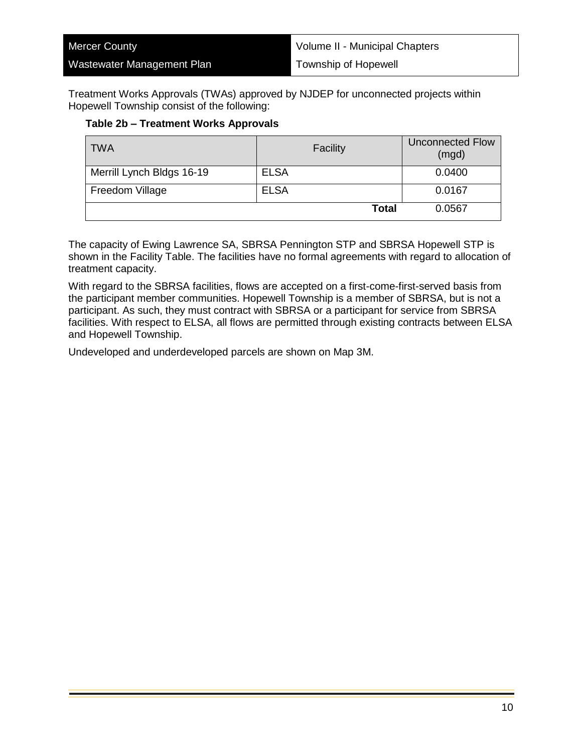| <b>Mercer County</b>       | Volume II - Municipal Chapters |
|----------------------------|--------------------------------|
| Wastewater Management Plan | Township of Hopewell           |

Treatment Works Approvals (TWAs) approved by NJDEP for unconnected projects within Hopewell Township consist of the following:

#### **Table 2b – Treatment Works Approvals**

| <b>TWA</b>                | Facility    |       | <b>Unconnected Flow</b><br>(mgd) |
|---------------------------|-------------|-------|----------------------------------|
| Merrill Lynch Bldgs 16-19 | <b>ELSA</b> |       | 0.0400                           |
| Freedom Village           | <b>ELSA</b> |       | 0.0167                           |
|                           |             | Total | 0.0567                           |

The capacity of Ewing Lawrence SA, SBRSA Pennington STP and SBRSA Hopewell STP is shown in the Facility Table. The facilities have no formal agreements with regard to allocation of treatment capacity.

With regard to the SBRSA facilities, flows are accepted on a first-come-first-served basis from the participant member communities. Hopewell Township is a member of SBRSA, but is not a participant. As such, they must contract with SBRSA or a participant for service from SBRSA facilities. With respect to ELSA, all flows are permitted through existing contracts between ELSA and Hopewell Township.

Undeveloped and underdeveloped parcels are shown on Map 3M.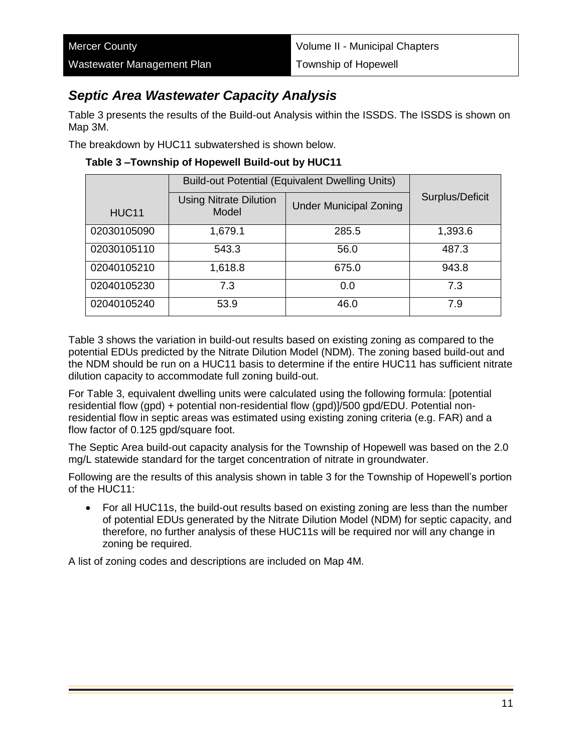### *Septic Area Wastewater Capacity Analysis*

Table 3 presents the results of the Build-out Analysis within the ISSDS. The ISSDS is shown on Map 3M.

The breakdown by HUC11 subwatershed is shown below.

|                   | <b>Build-out Potential (Equivalent Dwelling Units)</b> |                               |                 |
|-------------------|--------------------------------------------------------|-------------------------------|-----------------|
| HUC <sub>11</sub> | <b>Using Nitrate Dilution</b><br>Model                 | <b>Under Municipal Zoning</b> | Surplus/Deficit |
| 02030105090       | 1,679.1                                                | 285.5                         | 1,393.6         |
| 02030105110       | 543.3                                                  | 56.0                          | 487.3           |
| 02040105210       | 1,618.8                                                | 675.0                         | 943.8           |
| 02040105230       | 7.3                                                    | 0.0                           | 7.3             |
| 02040105240       | 53.9                                                   | 46.0                          | 7.9             |

**Table 3 –Township of Hopewell Build-out by HUC11**

Table 3 shows the variation in build-out results based on existing zoning as compared to the potential EDUs predicted by the Nitrate Dilution Model (NDM). The zoning based build-out and the NDM should be run on a HUC11 basis to determine if the entire HUC11 has sufficient nitrate dilution capacity to accommodate full zoning build-out.

For Table 3, equivalent dwelling units were calculated using the following formula: [potential residential flow (gpd) + potential non-residential flow (gpd)]/500 gpd/EDU. Potential nonresidential flow in septic areas was estimated using existing zoning criteria (e.g. FAR) and a flow factor of 0.125 gpd/square foot.

The Septic Area build-out capacity analysis for the Township of Hopewell was based on the 2.0 mg/L statewide standard for the target concentration of nitrate in groundwater.

Following are the results of this analysis shown in table 3 for the Township of Hopewell's portion of the HUC11:

• For all HUC11s, the build-out results based on existing zoning are less than the number of potential EDUs generated by the Nitrate Dilution Model (NDM) for septic capacity, and therefore, no further analysis of these HUC11s will be required nor will any change in zoning be required.

A list of zoning codes and descriptions are included on Map 4M.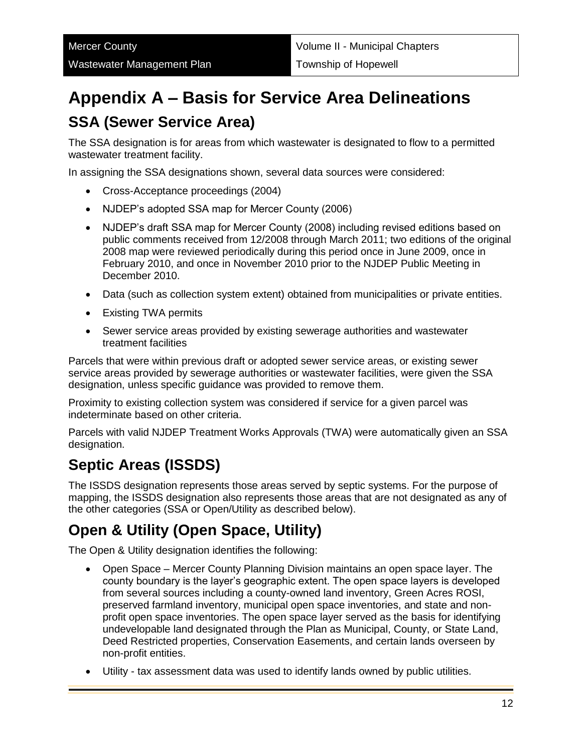# **Appendix A – Basis for Service Area Delineations SSA (Sewer Service Area)**

The SSA designation is for areas from which wastewater is designated to flow to a permitted wastewater treatment facility.

In assigning the SSA designations shown, several data sources were considered:

- Cross-Acceptance proceedings (2004)
- NJDEP's adopted SSA map for Mercer County (2006)
- NJDEP's draft SSA map for Mercer County (2008) including revised editions based on public comments received from 12/2008 through March 2011; two editions of the original 2008 map were reviewed periodically during this period once in June 2009, once in February 2010, and once in November 2010 prior to the NJDEP Public Meeting in December 2010.
- Data (such as collection system extent) obtained from municipalities or private entities.
- Existing TWA permits
- Sewer service areas provided by existing sewerage authorities and wastewater treatment facilities

Parcels that were within previous draft or adopted sewer service areas, or existing sewer service areas provided by sewerage authorities or wastewater facilities, were given the SSA designation, unless specific guidance was provided to remove them.

Proximity to existing collection system was considered if service for a given parcel was indeterminate based on other criteria.

Parcels with valid NJDEP Treatment Works Approvals (TWA) were automatically given an SSA designation.

## **Septic Areas (ISSDS)**

The ISSDS designation represents those areas served by septic systems. For the purpose of mapping, the ISSDS designation also represents those areas that are not designated as any of the other categories (SSA or Open/Utility as described below).

## **Open & Utility (Open Space, Utility)**

The Open & Utility designation identifies the following:

- Open Space Mercer County Planning Division maintains an open space layer. The county boundary is the layer's geographic extent. The open space layers is developed from several sources including a county-owned land inventory, Green Acres ROSI, preserved farmland inventory, municipal open space inventories, and state and nonprofit open space inventories. The open space layer served as the basis for identifying undevelopable land designated through the Plan as Municipal, County, or State Land, Deed Restricted properties, Conservation Easements, and certain lands overseen by non-profit entities.
- Utility tax assessment data was used to identify lands owned by public utilities.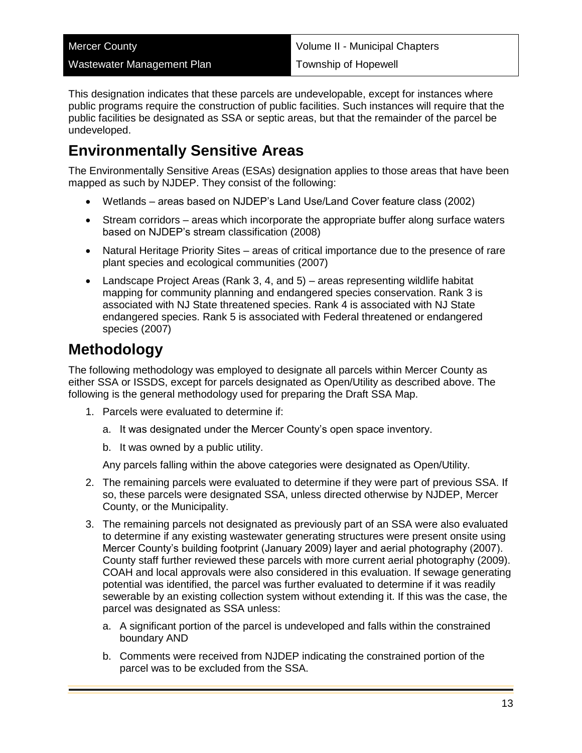| <b>Mercer County</b>       | Volume II - Municipal Chapters |
|----------------------------|--------------------------------|
| Wastewater Management Plan | Township of Hopewell           |

This designation indicates that these parcels are undevelopable, except for instances where public programs require the construction of public facilities. Such instances will require that the public facilities be designated as SSA or septic areas, but that the remainder of the parcel be undeveloped.

### **Environmentally Sensitive Areas**

The Environmentally Sensitive Areas (ESAs) designation applies to those areas that have been mapped as such by NJDEP. They consist of the following:

- Wetlands areas based on NJDEP's Land Use/Land Cover feature class (2002)
- Stream corridors areas which incorporate the appropriate buffer along surface waters based on NJDEP's stream classification (2008)
- Natural Heritage Priority Sites areas of critical importance due to the presence of rare plant species and ecological communities (2007)
- Landscape Project Areas (Rank 3, 4, and 5) areas representing wildlife habitat mapping for community planning and endangered species conservation. Rank 3 is associated with NJ State threatened species. Rank 4 is associated with NJ State endangered species. Rank 5 is associated with Federal threatened or endangered species (2007)

## **Methodology**

The following methodology was employed to designate all parcels within Mercer County as either SSA or ISSDS, except for parcels designated as Open/Utility as described above. The following is the general methodology used for preparing the Draft SSA Map.

- 1. Parcels were evaluated to determine if:
	- a. It was designated under the Mercer County's open space inventory.
	- b. It was owned by a public utility.

Any parcels falling within the above categories were designated as Open/Utility.

- 2. The remaining parcels were evaluated to determine if they were part of previous SSA. If so, these parcels were designated SSA, unless directed otherwise by NJDEP, Mercer County, or the Municipality.
- 3. The remaining parcels not designated as previously part of an SSA were also evaluated to determine if any existing wastewater generating structures were present onsite using Mercer County's building footprint (January 2009) layer and aerial photography (2007). County staff further reviewed these parcels with more current aerial photography (2009). COAH and local approvals were also considered in this evaluation. If sewage generating potential was identified, the parcel was further evaluated to determine if it was readily sewerable by an existing collection system without extending it. If this was the case, the parcel was designated as SSA unless:
	- a. A significant portion of the parcel is undeveloped and falls within the constrained boundary AND
	- b. Comments were received from NJDEP indicating the constrained portion of the parcel was to be excluded from the SSA.